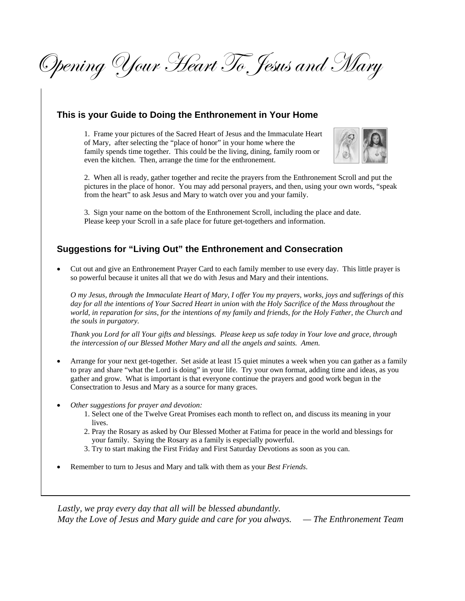Opening Your Heart To Jesus and Mary

## **This is your Guide to Doing the Enthronement in Your Home**

 1. Frame your pictures of the Sacred Heart of Jesus and the Immaculate Heart of Mary, after selecting the "place of honor" in your home where the family spends time together. This could be the living, dining, family room or even the kitchen. Then, arrange the time for the enthronement.



 2. When all is ready, gather together and recite the prayers from the Enthronement Scroll and put the pictures in the place of honor. You may add personal prayers, and then, using your own words, "speak from the heart" to ask Jesus and Mary to watch over you and your family.

 3. Sign your name on the bottom of the Enthronement Scroll, including the place and date. Please keep your Scroll in a safe place for future get-togethers and information.

## **Suggestions for "Living Out" the Enthronement and Consecration**

• Cut out and give an Enthronement Prayer Card to each family member to use every day. This little prayer is so powerful because it unites all that we do with Jesus and Mary and their intentions.

*O my Jesus, through the Immaculate Heart of Mary, I offer You my prayers, works, joys and sufferings of this*  day for all the intentions of Your Sacred Heart in union with the Holy Sacrifice of the Mass throughout the *world, in reparation for sins, for the intentions of my family and friends, for the Holy Father, the Church and the souls in purgatory.* 

*Thank you Lord for all Your gifts and blessings. Please keep us safe today in Your love and grace, through the intercession of our Blessed Mother Mary and all the angels and saints. Amen.* 

- Arrange for your next get-together. Set aside at least 15 quiet minutes a week when you can gather as a family to pray and share "what the Lord is doing" in your life. Try your own format, adding time and ideas, as you gather and grow. What is important is that everyone continue the prayers and good work begun in the Consectration to Jesus and Mary as a source for many graces.
- *Other suggestions for prayer and devotion:* 
	- 1. Select one of the Twelve Great Promises each month to reflect on, and discuss its meaning in your lives.
	- 2. Pray the Rosary as asked by Our Blessed Mother at Fatima for peace in the world and blessings for your family. Saying the Rosary as a family is especially powerful.
	- 3. Try to start making the First Friday and First Saturday Devotions as soon as you can.
- Remember to turn to Jesus and Mary and talk with them as your *Best Friends*.

*Lastly, we pray every day that all will be blessed abundantly. May the Love of Jesus and Mary guide and care for you always. — The Enthronement Team*